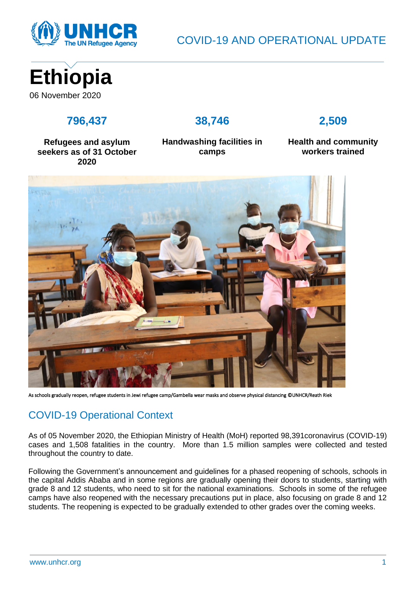

COVID-19 AND OPERATIONAL UPDATE



## **796,437**

### **38,746**

## **2,509**

**Refugees and asylum seekers as of 31 October 2020**

**Handwashing facilities in camps**

**Health and community workers trained**



As schools gradually reopen, refugee students in Jewi refugee camp/Gambella wear masks and observe physical distancing ©UNHCR/Reath Riek

# COVID-19 Operational Context

As of 05 November 2020, the Ethiopian Ministry of Health (MoH) reported 98,391coronavirus (COVID-19) cases and 1,508 fatalities in the country. More than 1.5 million samples were collected and tested throughout the country to date.

Following the Government's announcement and guidelines for a phased reopening of schools, schools in the capital Addis Ababa and in some regions are gradually opening their doors to students, starting with grade 8 and 12 students, who need to sit for the national examinations. Schools in some of the refugee camps have also reopened with the necessary precautions put in place, also focusing on grade 8 and 12 students. The reopening is expected to be gradually extended to other grades over the coming weeks.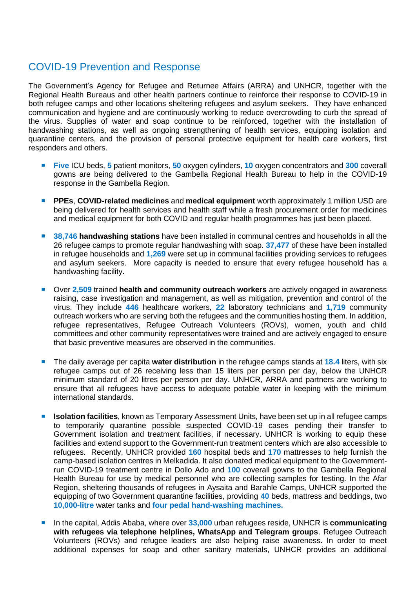## COVID-19 Prevention and Response

The Government's Agency for Refugee and Returnee Affairs (ARRA) and UNHCR, together with the Regional Health Bureaus and other health partners continue to reinforce their response to COVID-19 in both refugee camps and other locations sheltering refugees and asylum seekers. They have enhanced communication and hygiene and are continuously working to reduce overcrowding to curb the spread of the virus. Supplies of water and soap continue to be reinforced, together with the installation of handwashing stations, as well as ongoing strengthening of health services, equipping isolation and quarantine centers, and the provision of personal protective equipment for health care workers, first responders and others.

- **Five** ICU beds, **5** patient monitors, **50** oxygen cylinders, **10** oxygen concentrators and **300** coverall gowns are being delivered to the Gambella Regional Health Bureau to help in the COVID-19 response in the Gambella Region.
- **PPEs**, **COVID-related medicines** and **medical equipment** worth approximately 1 million USD are being delivered for health services and health staff while a fresh procurement order for medicines and medical equipment for both COVID and regular health programmes has just been placed.
- **38,746 handwashing stations** have been installed in communal centres and households in all the 26 refugee camps to promote regular handwashing with soap. **37,477** of these have been installed in refugee households and **1,269** were set up in communal facilities providing services to refugees and asylum seekers. More capacity is needed to ensure that every refugee household has a handwashing facility.
- Over **2,509** trained **health and community outreach workers** are actively engaged in awareness raising, case investigation and management, as well as mitigation, prevention and control of the virus. They include **446** healthcare workers, **22** laboratory technicians and **1,719** community outreach workers who are serving both the refugees and the communities hosting them. In addition, refugee representatives, Refugee Outreach Volunteers (ROVs), women, youth and child committees and other community representatives were trained and are actively engaged to ensure that basic preventive measures are observed in the communities.
- **The daily average per capita water distribution** in the refugee camps stands at **18.4** liters, with six refugee camps out of 26 receiving less than 15 liters per person per day, below the UNHCR minimum standard of 20 litres per person per day. UNHCR, ARRA and partners are working to ensure that all refugees have access to adequate potable water in keeping with the minimum international standards.
- **Isolation facilities**, known as Temporary Assessment Units, have been set up in all refugee camps to temporarily quarantine possible suspected COVID-19 cases pending their transfer to Government isolation and treatment facilities, if necessary. UNHCR is working to equip these facilities and extend support to the Government-run treatment centers which are also accessible to refugees. Recently, UNHCR provided **160** hospital beds and **170** mattresses to help furnish the camp-based isolation centres in Melkadida. It also donated medical equipment to the Governmentrun COVID-19 treatment centre in Dollo Ado and **100** coverall gowns to the Gambella Regional Health Bureau for use by medical personnel who are collecting samples for testing. In the Afar Region, sheltering thousands of refugees in Aysaita and Barahle Camps, UNHCR supported the equipping of two Government quarantine facilities, providing **40** beds, mattress and beddings, two **10,000-litre** water tanks and **four pedal hand-washing machines.**
- In the capital, Addis Ababa, where over 33,000 urban refugees reside, UNHCR is **communicating with refugees via telephone helplines, WhatsApp and Telegram groups**. Refugee Outreach Volunteers (ROVs) and refugee leaders are also helping raise awareness. In order to meet additional expenses for soap and other sanitary materials, UNHCR provides an additional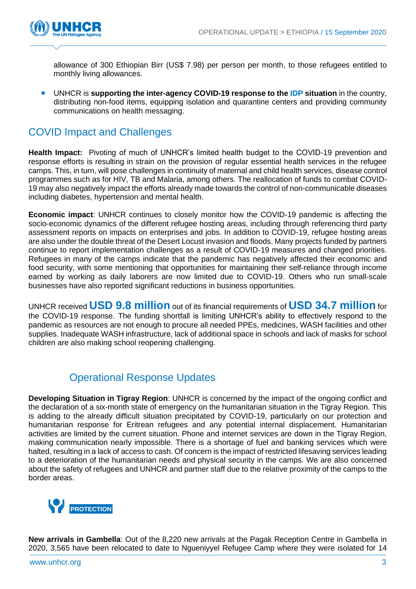

allowance of 300 Ethiopian Birr (US\$ 7.98) per person per month, to those refugees entitled to monthly living allowances.

 UNHCR is **supporting the inter-agency COVID-19 response to the IDP situation** in the country, distributing non-food items, equipping isolation and quarantine centers and providing community communications on health messaging.

## COVID Impact and Challenges

**Health Impact:** Pivoting of much of UNHCR's limited health budget to the COVID-19 prevention and response efforts is resulting in strain on the provision of regular essential health services in the refugee camps. This, in turn, will pose challenges in continuity of maternal and child health services, disease control programmes such as for HIV, TB and Malaria, among others. The reallocation of funds to combat COVID-19 may also negatively impact the efforts already made towards the control of non-communicable diseases including diabetes, hypertension and mental health.

**Economic impact**: UNHCR continues to closely monitor how the COVID-19 pandemic is affecting the socio-economic dynamics of the different refugee hosting areas, including through referencing third party assessment reports on impacts on enterprises and jobs. In addition to COVID-19, refugee hosting areas are also under the double threat of the Desert Locust invasion and floods. Many projects funded by partners continue to report implementation challenges as a result of COVID-19 measures and changed priorities. Refugees in many of the camps indicate that the pandemic has negatively affected their economic and food security, with some mentioning that opportunities for maintaining their self-reliance through income earned by working as daily laborers are now limited due to COVID-19. Others who run small-scale businesses have also reported significant reductions in business opportunities.

UNHCR received **USD 9.8 million** out of its financial requirements of **USD 34.7 million** for the COVID-19 response. The funding shortfall is limiting UNHCR's ability to effectively respond to the pandemic as resources are not enough to procure all needed PPEs, medicines, WASH facilities and other supplies. Inadequate WASH infrastructure, lack of additional space in schools and lack of masks for school children are also making school reopening challenging.

## Operational Response Updates

**Developing Situation in Tigray Region**: UNHCR is concerned by the impact of the ongoing conflict and the declaration of a six-month state of emergency on the humanitarian situation in the Tigray Region. This is adding to the already difficult situation precipitated by COVID-19, particularly on our protection and humanitarian response for Eritrean refugees and any potential internal displacement. Humanitarian activities are limited by the current situation. Phone and internet services are down in the Tigray Region, making communication nearly impossible. There is a shortage of fuel and banking services which were halted, resulting in a lack of access to cash. Of concern is the impact of restricted lifesaving services leading to a deterioration of the humanitarian needs and physical security in the camps. We are also concerned about the safety of refugees and UNHCR and partner staff due to the relative proximity of the camps to the border areas.



**New arrivals in Gambella**: Out of the 8,220 new arrivals at the Pagak Reception Centre in Gambella in 2020, 3,565 have been relocated to date to Ngueniyyel Refugee Camp where they were isolated for 14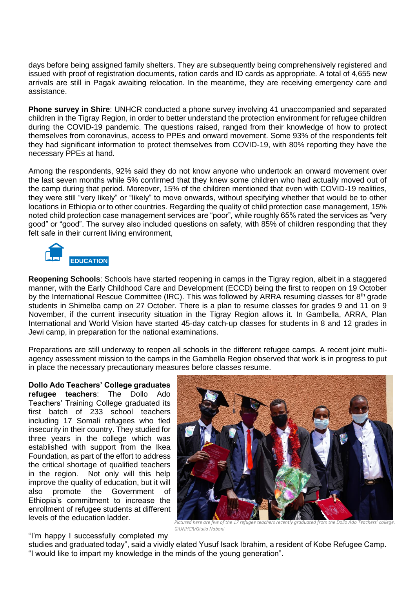days before being assigned family shelters. They are subsequently being comprehensively registered and issued with proof of registration documents, ration cards and ID cards as appropriate. A total of 4,655 new arrivals are still in Pagak awaiting relocation. In the meantime, they are receiving emergency care and assistance.

**Phone survey in Shire**: UNHCR conducted a phone survey involving 41 unaccompanied and separated children in the Tigray Region, in order to better understand the protection environment for refugee children during the COVID-19 pandemic. The questions raised, ranged from their knowledge of how to protect themselves from coronavirus, access to PPEs and onward movement. Some 93% of the respondents felt they had significant information to protect themselves from COVID-19, with 80% reporting they have the necessary PPEs at hand.

Among the respondents, 92% said they do not know anyone who undertook an onward movement over the last seven months while 5% confirmed that they knew some children who had actually moved out of the camp during that period. Moreover, 15% of the children mentioned that even with COVID-19 realities, they were still "very likely" or "likely" to move onwards, without specifying whether that would be to other locations in Ethiopia or to other countries. Regarding the quality of child protection case management, 15% noted child protection case management services are "poor", while roughly 65% rated the services as "very good" or "good". The survey also included questions on safety, with 85% of children responding that they felt safe in their current living environment,



**Reopening Schools**: Schools have started reopening in camps in the Tigray region, albeit in a staggered manner, with the Early Childhood Care and Development (ECCD) being the first to reopen on 19 October by the International Rescue Committee (IRC). This was followed by ARRA resuming classes for 8<sup>th</sup> grade students in Shimelba camp on 27 October. There is a plan to resume classes for grades 9 and 11 on 9 November, if the current insecurity situation in the Tigray Region allows it. In Gambella, ARRA, Plan International and World Vision have started 45-day catch-up classes for students in 8 and 12 grades in Jewi camp, in preparation for the national examinations.

Preparations are still underway to reopen all schools in the different refugee camps. A recent joint multiagency assessment mission to the camps in the Gambella Region observed that work is in progress to put in place the necessary precautionary measures before classes resume.

**Dollo Ado Teachers' College graduates refugee teachers**: The Dollo Ado Teachers' Training College graduated its first batch of 233 school teachers including 17 Somali refugees who fled insecurity in their country. They studied for three years in the college which was established with support from the Ikea Foundation, as part of the effort to address the critical shortage of qualified teachers in the region. Not only will this help improve the quality of education, but it will also promote the Government of Ethiopia's commitment to increase the enrollment of refugee students at different levels of the education ladder.



*Pictured here are five of the 17 refugee teachers recently graduated from the Dollo Ado Teachers' college. ©UNHCR/Giulia Naboni*

"I'm happy I successfully completed my

studies and graduated today", said a vividly elated Yusuf Isack Ibrahim, a resident of Kobe Refugee Camp. "I would like to impart my knowledge in the minds of the young generation".